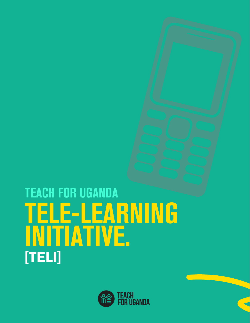

## TELE-LEARNING INITIATIVE. TEACH FOR UGANDA **[TELI]**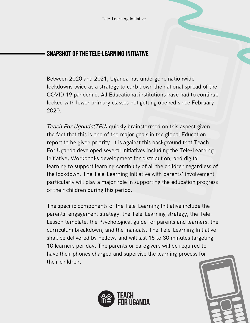## SNAPSHOT OF THE TELE-LEARNING INITIATIVE

Between 2020 and 2021, Uganda has undergone nationwide lockdowns twice as a strategy to curb down the national spread of the COVID 19 pandemic. All Educational institutions have had to continue locked with lower primary classes not getting opened since February 2020.

Teach For Uganda(TFU) quickly brainstormed on this aspect given the fact that this is one of the major goals in the global Education report to be given priority. It is against this background that Teach For Uganda developed several initiatives including the Tele-Learning Initiative, Workbooks development for distribution, and digital learning to support learning continuity of all the children regardless of the lockdown. The Tele-Learning Initiative with parents' involvement particularly will play a major role in supporting the education progress of their children during this period.

The specific components of the Tele-Learning Initiative include the parents' engagement strategy, the Tele-Learning strategy, the Tele-Lesson template, the Psychological guide for parents and learners, the curriculum breakdown, and the manuals. The Tele-Learning Initiative shall be delivered by Fellows and will last 15 to 30 minutes targeting 10 learners per day. The parents or caregivers will be required to have their phones charged and supervise the learning process for their children.



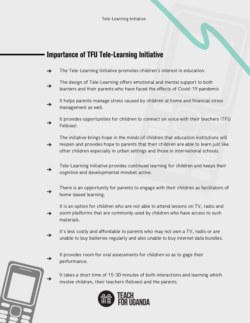## Importance of TFU Tele-Learning Initiative

- The Tele-Learning Initiative promotes children's interest in education.  $\rightarrow$
- The design of Tele-Learning offers emotional and mental support to both  $\rightarrow$ learners and their parents who have faced the effects of Covid-19 pandemic
- It helps parents manage stress caused by children at home and financial stress  $\rightarrow$ management as well.
- It provides opportunities for children to connect on voice with their teachers (TFU  $\rightarrow$ Fellows).
- The initiative brings hope in the minds of children that education institutions will reopen and provides hope to parents that their children are able to learn just like  $\rightarrow$ other children especially in urban settings and those in international schools.
- Tele-Learning Initiative provides continued learning for children and keeps their  $\rightarrow$ cognitive and developmental mindset active.
- There is an opportunity for parents to engage with their children as facilitators of  $\rightarrow$ home-based learning.
- It is an option for children who are not able to attend lessons on TV, radio and zoom platforms that are commonly used by children who have access to such  $\rightarrow$ materials.
- It's less costly and affordable to parents who may not own a TV, radio or are  $\rightarrow$ unable to buy batteries regularly and also unable to buy internet data bundles.
	- It provides room for oral assessments for children so as to gage their performance.
	- It takes a short time of 15-30 minutes of both interactions and learning which involve children, their teachers (fellows) and the parents.